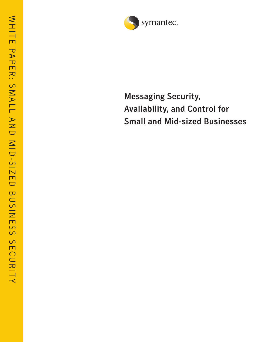

# Messaging Security, Availability, and Control for Small and Mid-sized Businesses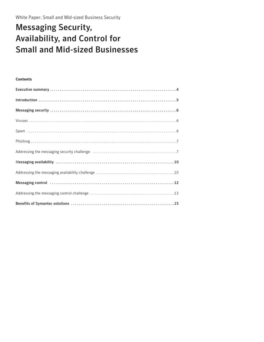White Paper: Small and Mid-sized Business Security

## Messaging Security, Availability, and Control for Small and Mid-sized Businesses

## **Contents**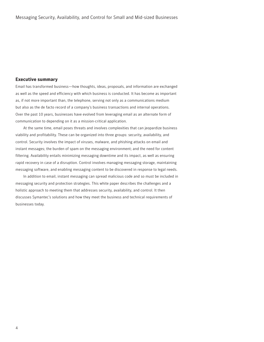## **Executive summary**

Email has transformed business—how thoughts, ideas, proposals, and information are exchanged as well as the speed and efficiency with which business is conducted. It has become as important as, if not more important than, the telephone, serving not only as a communications medium but also as the de facto record of a company's business transactions and internal operations. Over the past 10 years, businesses have evolved from leveraging email as an alternate form of communication to depending on it as a mission-critical application.

At the same time, email poses threats and involves complexities that can jeopardize business viability and profitability. These can be organized into three groups: security, availability, and control. Security involves the impact of viruses, malware, and phishing attacks on email and instant messages; the burden of spam on the messaging environment; and the need for content filtering. Availability entails minimizing messaging downtime and its impact, as well as ensuring rapid recovery in case of a disruption. Control involves managing messaging storage, maintaining messaging software, and enabling messaging content to be discovered in response to legal needs.

In addition to email, instant messaging can spread malicious code and so must be included in messaging security and protection strategies. This white paper describes the challenges and a holistic approach to meeting them that addresses security, availability, and control. It then discusses Symantec's solutions and how they meet the business and technical requirements of businesses today.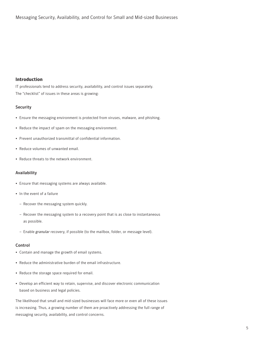## **Introduction**

IT professionals tend to address security, availability, and control issues separately. The "checklist" of issues in these areas is growing:

## **Security**

- Ensure the messaging environment is protected from viruses, malware, and phishing.
- Reduce the impact of spam on the messaging environment.
- Prevent unauthorized transmittal of confidential information.
- Reduce volumes of unwanted email.
- Reduce threats to the network environment.

## Availability

- Ensure that messaging systems are always available.
- In the event of a failure
	- Recover the messaging system quickly.
	- Recover the messaging system to a recovery point that is as close to instantaneous as possible.
	- Enable *granular* recovery, if possible (to the mailbox, folder, or message level).

## Control

- Contain and manage the growth of email systems.
- Reduce the administrative burden of the email infrastructure.
- Reduce the storage space required for email.
- Develop an efficient way to retain, supervise, and discover electronic communication based on business and legal policies.

The likelihood that small and mid-sized businesses will face more or even all of these issues is increasing. Thus, a growing number of them are proactively addressing the full range of messaging security, availability, and control concerns.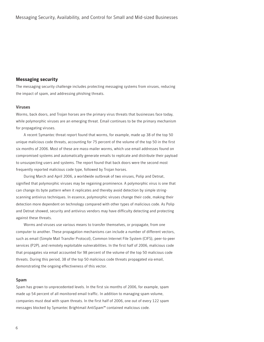## **Messaging security**

The messaging security challenge includes protecting messaging systems from viruses, reducing the impact of spam, and addressing phishing threats.

#### Viruses

Worms, back doors, and Trojan horses are the primary virus threats that businesses face today, while polymorphic viruses are an emerging threat. Email continues to be the primary mechanism for propagating viruses.

A recent Symantec threat report found that worms, for example, made up 38 of the top 50 unique malicious code threats, accounting for 75 percent of the volume of the top 50 in the first six months of 2006. Most of these are mass-mailer worms, which use email addresses found on compromised systems and automatically generate emails to replicate and distribute their payload to unsuspecting users and systems. The report found that back doors were the second most frequently reported malicious code type, followed by Trojan horses.

During March and April 2006, a worldwide outbreak of two viruses, Polip and Detnat, signified that polymorphic viruses may be regaining prominence. A polymorphic virus is one that can change its byte pattern when it replicates and thereby avoid detection by simple stringscanning antivirus techniques. In essence, polymorphic viruses change their code, making their detection more dependent on technology compared with other types of malicious code. As Polip and Detnat showed, security and antivirus vendors may have difficulty detecting and protecting against these threats.

Worms and viruses use various means to transfer themselves, or propagate, from one computer to another. These propagation mechanisms can include a number of different vectors, such as email (Simple Mail Transfer Protocol), Common Internet File System (CIFS), peer-to-peer services (P2P), and remotely exploitable vulnerabilities. In the first half of 2006, malicious code that propagates via email accounted for 98 percent of the volume of the top 50 malicious code threats. During this period, 38 of the top 50 malicious code threats propagated via email, demonstrating the ongoing effectiveness of this vector.

#### Spam

Spam has grown to unprecedented levels. In the first six months of 2006, for example, spam made up 54 percent of all monitored email traffic. In addition to managing spam volume, companies must deal with spam threats. In the first half of 2006, one out of every 122 spam messages blocked by Symantec Brightmail AntiSpam™ contained malicious code.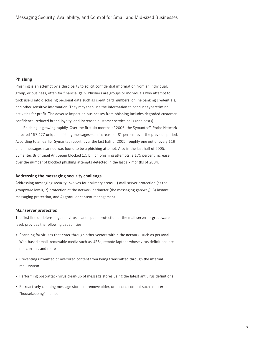## Phishing

Phishing is an attempt by a third party to solicit confidential information from an individual, group, or business, often for financial gain. Phishers are groups or individuals who attempt to trick users into disclosing personal data such as credit card numbers, online banking credentials, and other sensitive information. They may then use the information to conduct cybercriminal activities for profit. The adverse impact on businesses from phishing includes degraded customer confidence, reduced brand loyalty, and increased customer service calls (and costs).

Phishing is growing rapidly. Over the first six months of 2006, the Symantec™ Probe Network detected 157,477 unique phishing messages—an increase of 81 percent over the previous period. According to an earlier Symantec report, over the last half of 2005, roughly one out of every 119 email messages scanned was found to be a phishing attempt. Also in the last half of 2005, Symantec Brightmail AntiSpam blocked 1.5 billion phishing attempts, a 175 percent increase over the number of blocked phishing attempts detected in the last six months of 2004.

#### Addressing the messaging security challenge

Addressing messaging security involves four primary areas: 1) mail server protection (at the groupware level), 2) protection at the network perimeter (the messaging gateway), 3) instant messaging protection, and 4) granular content management.

#### *Mail server protection*

The first line of defense against viruses and spam, protection at the mail server or groupware level, provides the following capabilities:

- Scanning for viruses that enter through other vectors within the network, such as personal Web-based email, removable media such as USBs, remote laptops whose virus definitions are not current, and more
- Preventing unwanted or oversized content from being transmitted through the internal mail system
- Performing post-attack virus clean-up of message stores using the latest antivirus definitions
- Retroactively cleaning message stores to remove older, unneeded content such as internal "housekeeping" memos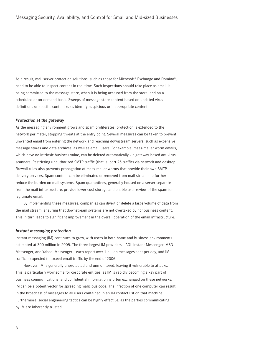As a result, mail server protection solutions, such as those for Microsoft® Exchange and Domino®, need to be able to inspect content in real time. Such inspections should take place as email is being committed to the message store, when it is being accessed from the store, and on a scheduled or on-demand basis. Sweeps of message store content based on updated virus definitions or specific content rules identify suspicious or inappropriate content.

#### *Protection at the gateway*

As the messaging environment grows and spam proliferates, protection is extended to the network perimeter, stopping threats at the entry point. Several measures can be taken to prevent unwanted email from entering the network and reaching downstream servers, such as expensive message stores and data archives, as well as email users. For example, mass-mailer worm emails, which have no intrinsic business value, can be deleted automatically via gateway-based antivirus scanners. Restricting unauthorized SMTP traffic (that is, port 25 traffic) via network and desktop firewall rules also prevents propagation of mass-mailer worms that provide their own SMTP delivery services. Spam content can be eliminated or removed from mail streams to further reduce the burden on mail systems. Spam quarantines, generally housed on a server separate from the mail infrastructure, provide lower cost storage and enable user review of the spam for legitimate email.

By implementing these measures, companies can divert or delete a large volume of data from the mail stream, ensuring that downstream systems are not overtaxed by nonbusiness content. This in turn leads to significant improvement in the overall operation of the email infrastructure.

#### *Instant messaging protection*

Instant messaging (IM) continues to grow, with users in both home and business environments estimated at 300 million in 2005. The three largest IM providers—AOL Instant Messenger, MSN Messenger, and Yahoo! Messenger—each report over 1 billion messages sent per day, and IM traffic is expected to exceed email traffic by the end of 2006.

However, IM is generally unprotected and unmonitored, leaving it vulnerable to attacks. This is particularly worrisome for corporate entities, as IM is rapidly becoming a key part of business communications, and confidential information is often exchanged on these networks. IM can be a potent vector for spreading malicious code. The infection of one computer can result in the broadcast of messages to all users contained in an IM contact list on that machine. Furthermore, social engineering tactics can be highly effective, as the parties communicating by IM are inherently trusted.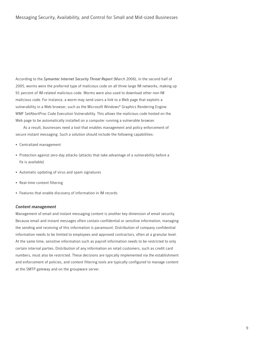According to the *Symantec Internet Security Threat Report* (March 2006), in the second half of 2005, worms were the preferred type of malicious code on all three large IM networks, making up 91 percent of IM-related malicious code. Worms were also used to download other non-IM malicious code. For instance, a worm may send users a link to a Web page that exploits a vulnerability in a Web browser, such as the Microsoft Windows® Graphics Rendering Engine WMF SetAbortProc Code Execution Vulnerability. This allows the malicious code hosted on the Web page to be automatically installed on a computer running a vulnerable browser.

As a result, businesses need a tool that enables management and policy enforcement of secure instant messaging. Such a solution should include the following capabilities:

- Centralized management
- Protection against zero-day attacks (attacks that take advantage of a vulnerability before a fix is available)
- Automatic updating of virus and spam signatures
- Real-time content filtering
- Features that enable discovery of information in IM records

#### *Content management*

Management of email and instant messaging content is another key dimension of email security. Because email and instant messages often contain confidential or sensitive information, managing the sending and receiving of this information is paramount. Distribution of company confidential information needs to be limited to employees and approved contractors, often at a granular level. At the same time, sensitive information such as payroll information needs to be restricted to only certain internal parties. Distribution of any information on retail customers, such as credit card numbers, must also be restricted. These decisions are typically implemented via the establishment and enforcement of policies, and content filtering tools are typically configured to manage content at the SMTP gateway and on the groupware server.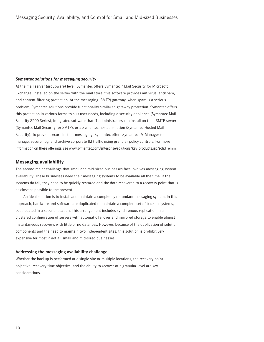## *Symantec solutions for messaging security*

At the mail server (groupware) level, Symantec offers Symantec™ Mail Security for Microsoft Exchange. Installed on the server with the mail store, this software provides antivirus, antispam, and content-filtering protection. At the messaging (SMTP) gateway, when spam is a serious problem, Symantec solutions provide functionality similar to gateway protection. Symantec offers this protection in various forms to suit user needs, including a security appliance (Symantec Mail Security 8200 Series), integrated software that IT administrators can install on their SMTP server (Symantec Mail Security for SMTP), or a Symantec hosted solution (Symantec Hosted Mail Security). To provide secure instant messaging, Symantec offers Symantec IM Manager to manage, secure, log, and archive corporate IM traffic using granular policy controls. For more information on these offerings, see www.symantec.com/enterprise/solutions/key\_products.jsp?solid=emm.

## **Messaging availability**

The second major challenge that small and mid-sized businesses face involves messaging system availability. These businesses need their messaging systems to be available all the time. If the systems do fail, they need to be quickly restored and the data recovered to a recovery point that is as close as possible to the present.

An ideal solution is to install and maintain a completely redundant messaging system. In this approach, hardware and software are duplicated to maintain a complete set of backup systems, best located in a second location. This arrangement includes synchronous replication in a clustered configuration of servers with automatic failover and mirrored storage to enable almost instantaneous recovery, with little or no data loss. However, because of the duplication of solution components and the need to maintain two independent sites, this solution is prohibitively expensive for most if not all small and mid-sized businesses.

#### Addressing the messaging availability challenge

Whether the backup is performed at a single site or multiple locations, the recovery point objective, recovery time objective, and the ability to recover at a granular level are key considerations.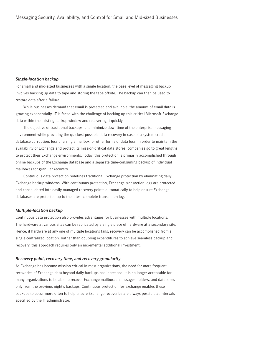#### *Single-location backup*

For small and mid-sized businesses with a single location, the base level of messaging backup involves backing up data to tape and storing the tape offsite. The backup can then be used to restore data after a failure.

While businesses demand that email is protected and available, the amount of email data is growing exponentially. IT is faced with the challenge of backing up this critical Microsoft Exchange data within the existing backup window and recovering it quickly.

The objective of traditional backups is to minimize downtime of the enterprise messaging environment while providing the quickest possible data recovery in case of a system crash, database corruption, loss of a single mailbox, or other forms of data loss. In order to maintain the availability of Exchange and protect its mission-critical data stores, companies go to great lengths to protect their Exchange environments. Today, this protection is primarily accomplished through online backups of the Exchange database and a separate time-consuming backup of individual mailboxes for granular recovery.

Continuous data protection redefines traditional Exchange protection by eliminating daily Exchange backup windows. With continuous protection, Exchange transaction logs are protected and consolidated into easily managed recovery points automatically to help ensure Exchange databases are protected up to the latest complete transaction log.

#### *Multiple-location backup*

Continuous data protection also provides advantages for businesses with multiple locations. The hardware at various sites can be replicated by a single piece of hardware at a secondary site. Hence, if hardware at any one of multiple locations fails, recovery can be accomplished from a single centralized location. Rather than doubling expenditures to achieve seamless backup and recovery, this approach requires only an incremental additional investment.

#### *Recovery point, recovery time, and recovery granularity*

As Exchange has become mission critical in most organizations, the need for more frequent recoveries of Exchange data beyond daily backups has increased. It is no longer acceptable for many organizations to be able to recover Exchange mailboxes, messages, folders, and databases only from the previous night's backups. Continuous protection for Exchange enables these backups to occur more often to help ensure Exchange recoveries are always possible at intervals specified by the IT administrator.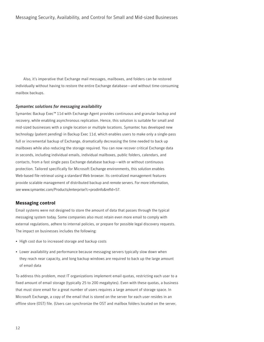Also, it's imperative that Exchange mail messages, mailboxes, and folders can be restored individually without having to restore the entire Exchange database—and without time-consuming mailbox backups.

## *Symantec solutions for messaging availability*

Symantec Backup Exec™ 11d with Exchange Agent provides continuous and granular backup and recovery, while enabling asynchronous replication. Hence, this solution is suitable for small and mid-sized businesses with a single location or multiple locations. Symantec has developed new technology (patent pending) in Backup Exec 11d, which enables users to make only a single-pass full or incremental backup of Exchange, dramatically decreasing the time needed to back up mailboxes while also reducing the storage required. You can now recover critical Exchange data in seconds, including individual emails, individual mailboxes, public folders, calendars, and contacts, from a fast single pass Exchange database backup—with or without continuous protection. Tailored specifically for Microsoft Exchange environments, this solution enables Web-based file retrieval using a standard Web browser. Its centralized management features provide scalable management of distributed backup and remote servers. For more information, see www.symantec.com/Products/enterprise?c=prodinfo&refId=57.

## **Messaging control**

Email systems were not designed to store the amount of data that passes through the typical messaging system today. Some companies also must retain even more email to comply with external regulations, adhere to internal policies, or prepare for possible legal discovery requests. The impact on businesses includes the following:

- High cost due to increased storage and backup costs
- Lower availability and performance because messaging servers typically slow down when they reach near capacity, and long backup windows are required to back up the large amount of email data

To address this problem, most IT organizations implement email quotas, restricting each user to a fixed amount of email storage (typically 25 to 200 megabytes). Even with these quotas, a business that must store email for a great number of users requires a large amount of storage space. In Microsoft Exchange, a copy of the email that is stored on the server for each user resides in an offline store (OST) file. (Users can synchronize the OST and mailbox folders located on the server,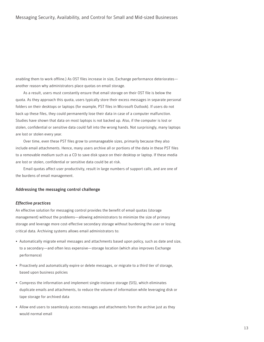enabling them to work offline.) As OST files increase in size, Exchange performance deteriorates another reason why administrators place quotas on email storage.

As a result, users must constantly ensure that email storage on their OST file is below the quota. As they approach this quota, users typically store their excess messages in separate personal folders on their desktops or laptops (for example, PST files in Microsoft Outlook). If users do not back up these files, they could permanently lose their data in case of a computer malfunction. Studies have shown that data on most laptops is not backed up. Also, if the computer is lost or stolen, confidential or sensitive data could fall into the wrong hands. Not surprisingly, many laptops are lost or stolen every year.

Over time, even these PST files grow to unmanageable sizes, primarily because they also include email attachments. Hence, many users archive all or portions of the data in these PST files to a removable medium such as a CD to save disk space on their desktop or laptop. If these media are lost or stolen, confidential or sensitive data could be at risk.

Email quotas affect user productivity, result in large numbers of support calls, and are one of the burdens of email management.

## Addressing the messaging control challenge

#### *Effective practices*

An effective solution for messaging control provides the benefit of email quotas (storage management) without the problems—allowing administrators to minimize the size of primary storage and leverage more cost-effective secondary storage without burdening the user or losing critical data. Archiving systems allows email administrators to:

- Automatically migrate email messages and attachments based upon policy, such as date and size, to a secondary—and often less expensive—storage location (which also improves Exchange performance)
- Proactively and automatically expire or delete messages, or migrate to a third tier of storage, based upon business policies
- Compress the information and implement single-instance storage (SIS), which eliminates duplicate emails and attachments, to reduce the volume of information while leveraging disk or tape storage for archived data
- Allow end users to seamlessly access messages and attachments from the archive just as they would normal email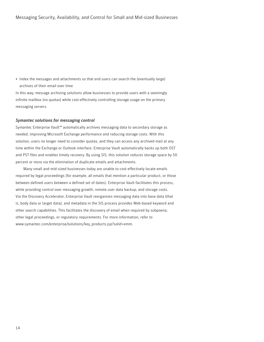• Index the messages and attachments so that end users can search the (eventually large) archives of their email over time

In this way, message archiving solutions allow businesses to provide users with a seemingly infinite mailbox (no quotas) while cost-effectively controlling storage usage on the primary messaging servers.

#### *Symantec solutions for messaging control*

Symantec Enterprise Vault™ automatically archives messaging data to secondary storage as needed, improving Microsoft Exchange performance and reducing storage costs. With this solution, users no longer need to consider quotas, and they can access any archived mail at any time within the Exchange or Outlook interface. Enterprise Vault automatically backs up both OST and PST files and enables timely recovery. By using SIS, this solution reduces storage space by 50 percent or more via the elimination of duplicate emails and attachments.

Many small and mid-sized businesses today are unable to cost-effectively locate emails required by legal proceedings (for example, all emails that mention a particular product, or those between defined users between a defined set of dates). Enterprise Vault facilitates this process, while providing control over messaging growth, remote user data backup, and storage costs. Via the Discovery Accelerator, Enterprise Vault reorganizes messaging data into base data (that is, body data or target data), and metadata in the SIS process provides Web-based keyword and other search capabilities. This facilitates the discovery of email when required by subpoena, other legal proceedings, or regulatory requirements. For more information, refer to www.symantec.com/enterprise/solutions/key\_products.jsp?solid=emm.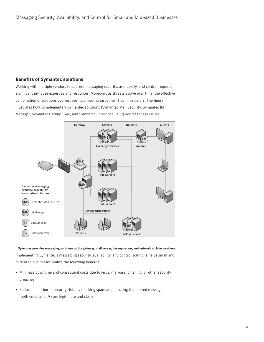## **Benefits of Symantec solutions**

Working with multiple vendors to address messaging security, availability, and control requires significant in-house expertise and resources. Moreover, as threats evolve over time, the effective combination of solutions evolves, posing a moving target for IT administrators. The figure illustrates how complementary Symantec solutions (Symantec Mail Security, Symantec IM Manager, Symantec Backup Exec, and Symantec Enterprise Vault) address these issues.



**Symantec provides messaging solutions at the gateway, mail server, backup server, and network archive locations.** Implementing Symantec's messaging security, availability, and control solutions helps small and mid-sized businesses realize the following benefits:

- Minimize downtime and consequent costs due to virus, malware, phishing, or other security breaches
- Reduce email-borne security risks by blocking spam and ensuring that stored messages (both email and IM) are legitimate and clean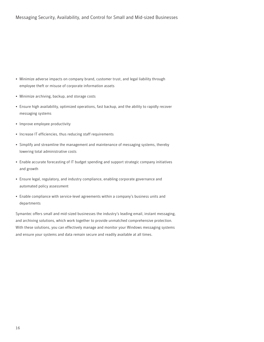- Minimize adverse impacts on company brand, customer trust, and legal liability through employee theft or misuse of corporate information assets
- Minimize archiving, backup, and storage costs
- Ensure high availability, optimized operations, fast backup, and the ability to rapidly recover messaging systems
- Improve employee productivity
- Increase IT efficiencies, thus reducing staff requirements
- Simplify and streamline the management and maintenance of messaging systems, thereby lowering total administrative costs
- Enable accurate forecasting of IT budget spending and support strategic company initiatives and growth
- Ensure legal, regulatory, and industry compliance, enabling corporate governance and automated policy assessment
- Enable compliance with service-level agreements within a company's business units and departments

Symantec offers small and mid-sized businesses the industry's leading email, instant messaging, and archiving solutions, which work together to provide unmatched comprehensive protection. With these solutions, you can effectively manage and monitor your Windows messaging systems and ensure your systems and data remain secure and readily available at all times.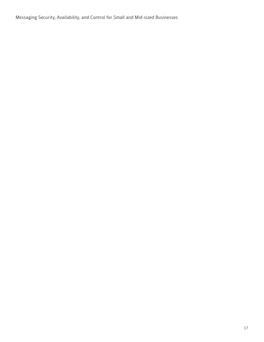Messaging Security, Availability, and Control for Small and Mid-sized Businesses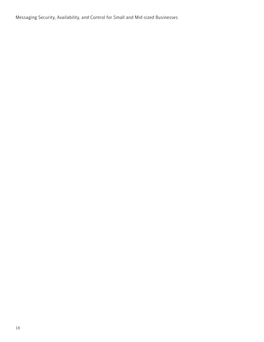Messaging Security, Availability, and Control for Small and Mid-sized Businesses